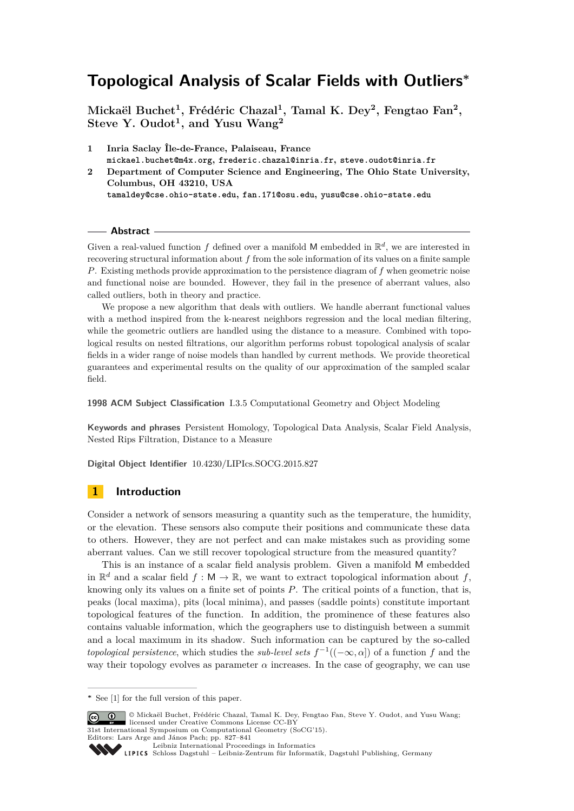**Mickaël Buchet<sup>1</sup> , Frédéric Chazal<sup>1</sup> , Tamal K. Dey<sup>2</sup> , Fengtao Fan<sup>2</sup> , Steve Y. Oudot<sup>1</sup> , and Yusu Wang<sup>2</sup>**

**1 Inria Saclay Île-de-France, Palaiseau, France mickael.buchet@m4x.org, frederic.chazal@inria.fr, steve.oudot@inria.fr 2 Department of Computer Science and Engineering, The Ohio State University, Columbus, OH 43210, USA**

**tamaldey@cse.ohio-state.edu, fan.171@osu.edu, yusu@cse.ohio-state.edu**

#### **Abstract**

Given a real-valued function  $f$  defined over a manifold M embedded in  $\mathbb{R}^d$ , we are interested in recovering structural information about *f* from the sole information of its values on a finite sample *P*. Existing methods provide approximation to the persistence diagram of *f* when geometric noise and functional noise are bounded. However, they fail in the presence of aberrant values, also called outliers, both in theory and practice.

We propose a new algorithm that deals with outliers. We handle aberrant functional values with a method inspired from the k-nearest neighbors regression and the local median filtering, while the geometric outliers are handled using the distance to a measure. Combined with topological results on nested filtrations, our algorithm performs robust topological analysis of scalar fields in a wider range of noise models than handled by current methods. We provide theoretical guarantees and experimental results on the quality of our approximation of the sampled scalar field.

**1998 ACM Subject Classification** I.3.5 Computational Geometry and Object Modeling

**Keywords and phrases** Persistent Homology, Topological Data Analysis, Scalar Field Analysis, Nested Rips Filtration, Distance to a Measure

**Digital Object Identifier** [10.4230/LIPIcs.SOCG.2015.827](http://dx.doi.org/10.4230/LIPIcs.SOCG.2015.827)

# **1 Introduction**

Consider a network of sensors measuring a quantity such as the temperature, the humidity, or the elevation. These sensors also compute their positions and communicate these data to others. However, they are not perfect and can make mistakes such as providing some aberrant values. Can we still recover topological structure from the measured quantity?

This is an instance of a scalar field analysis problem. Given a manifold M embedded in  $\mathbb{R}^d$  and a scalar field  $f : \mathsf{M} \to \mathbb{R}$ , we want to extract topological information about f, knowing only its values on a finite set of points *P*. The critical points of a function, that is, peaks (local maxima), pits (local minima), and passes (saddle points) constitute important topological features of the function. In addition, the prominence of these features also contains valuable information, which the geographers use to distinguish between a summit and a local maximum in its shadow. Such information can be captured by the so-called *topological persistence*, which studies the *sub-level sets*  $f^{-1}((-\infty, \alpha])$  of a function f and the way their topology evolves as parameter  $\alpha$  increases. In the case of geography, we can use

© Mickaël Buchet, Frédéric Chazal, Tamal K. Dey, Fengtao Fan, Steve Y. Oudot, and Yusu Wang; licensed under Creative Commons License CC-BY 31st International Symposium on Computational Geometry (SoCG'15).

Editors: Lars Arge and János Pach; pp. 827[–841](#page-14-0)

**<sup>∗</sup>** See [\[1\]](#page-13-0) for the full version of this paper.

[Leibniz International Proceedings in Informatics](http://www.dagstuhl.de/lipics/) Leibniz international Floretungs in missimosische Publishing, Germany<br>LIPICS [Schloss Dagstuhl – Leibniz-Zentrum für Informatik, Dagstuhl Publishing, Germany](http://www.dagstuhl.de)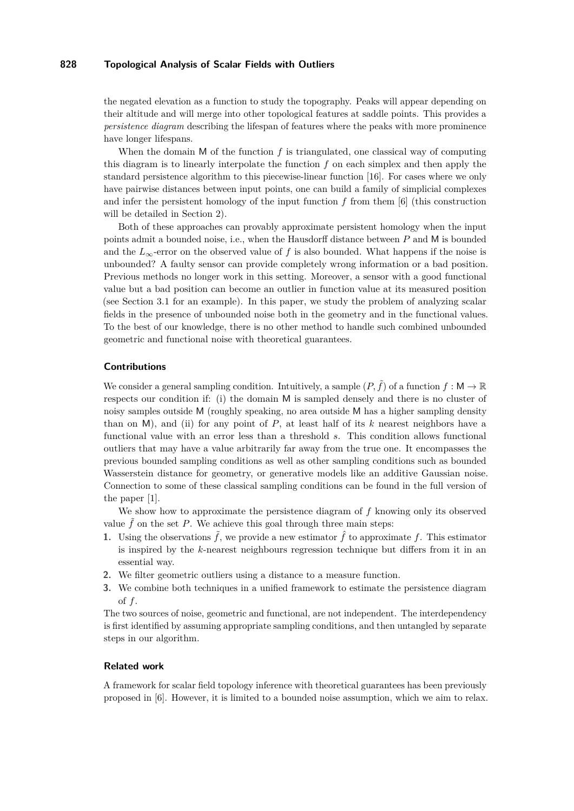the negated elevation as a function to study the topography. Peaks will appear depending on their altitude and will merge into other topological features at saddle points. This provides a *persistence diagram* describing the lifespan of features where the peaks with more prominence have longer lifespans.

When the domain M of the function *f* is triangulated, one classical way of computing this diagram is to linearly interpolate the function *f* on each simplex and then apply the standard persistence algorithm to this piecewise-linear function [\[16\]](#page-14-1). For cases where we only have pairwise distances between input points, one can build a family of simplicial complexes and infer the persistent homology of the input function *f* from them [\[6\]](#page-14-2) (this construction will be detailed in Section [2\)](#page-2-0).

Both of these approaches can provably approximate persistent homology when the input points admit a bounded noise, i.e., when the Hausdorff distance between *P* and M is bounded and the  $L_{\infty}$ -error on the observed value of f is also bounded. What happens if the noise is unbounded? A faulty sensor can provide completely wrong information or a bad position. Previous methods no longer work in this setting. Moreover, a sensor with a good functional value but a bad position can become an outlier in function value at its measured position (see Section [3.1](#page-5-0) for an example). In this paper, we study the problem of analyzing scalar fields in the presence of unbounded noise both in the geometry and in the functional values. To the best of our knowledge, there is no other method to handle such combined unbounded geometric and functional noise with theoretical guarantees.

#### **Contributions**

We consider a general sampling condition. Intuitively, a sample  $(P, \tilde{f})$  of a function  $f : M \to \mathbb{R}$ respects our condition if: (i) the domain M is sampled densely and there is no cluster of noisy samples outside M (roughly speaking, no area outside M has a higher sampling density than on M), and (ii) for any point of *P*, at least half of its *k* nearest neighbors have a functional value with an error less than a threshold *s*. This condition allows functional outliers that may have a value arbitrarily far away from the true one. It encompasses the previous bounded sampling conditions as well as other sampling conditions such as bounded Wasserstein distance for geometry, or generative models like an additive Gaussian noise. Connection to some of these classical sampling conditions can be found in the full version of the paper [\[1\]](#page-13-0).

We show how to approximate the persistence diagram of *f* knowing only its observed value  $\tilde{f}$  on the set *P*. We achieve this goal through three main steps:

- **1.** Using the observations  $\tilde{f}$ , we provide a new estimator  $\hat{f}$  to approximate f. This estimator is inspired by the *k*-nearest neighbours regression technique but differs from it in an essential way.
- **2.** We filter geometric outliers using a distance to a measure function.
- **3.** We combine both techniques in a unified framework to estimate the persistence diagram of *f*.

The two sources of noise, geometric and functional, are not independent. The interdependency is first identified by assuming appropriate sampling conditions, and then untangled by separate steps in our algorithm.

### **Related work**

A framework for scalar field topology inference with theoretical guarantees has been previously proposed in [\[6\]](#page-14-2). However, it is limited to a bounded noise assumption, which we aim to relax.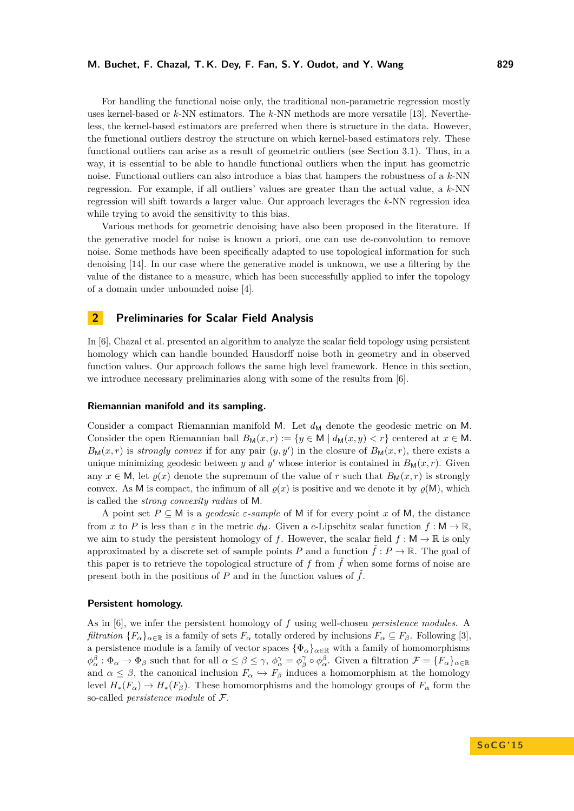#### **M. Buchet, F. Chazal, T. K. Dey, F. Fan, S. Y. Oudot, and Y. Wang 829**

For handling the functional noise only, the traditional non-parametric regression mostly uses kernel-based or *k*-NN estimators. The *k*-NN methods are more versatile [\[13\]](#page-14-3). Nevertheless, the kernel-based estimators are preferred when there is structure in the data. However, the functional outliers destroy the structure on which kernel-based estimators rely. These functional outliers can arise as a result of geometric outliers (see Section [3.1\)](#page-5-0). Thus, in a way, it is essential to be able to handle functional outliers when the input has geometric noise. Functional outliers can also introduce a bias that hampers the robustness of a *k*-NN regression. For example, if all outliers' values are greater than the actual value, a *k*-NN regression will shift towards a larger value. Our approach leverages the *k*-NN regression idea while trying to avoid the sensitivity to this bias.

Various methods for geometric denoising have also been proposed in the literature. If the generative model for noise is known a priori, one can use de-convolution to remove noise. Some methods have been specifically adapted to use topological information for such denoising [\[14\]](#page-14-4). In our case where the generative model is unknown, we use a filtering by the value of the distance to a measure, which has been successfully applied to infer the topology of a domain under unbounded noise [\[4\]](#page-14-5).

# <span id="page-2-0"></span>**2 Preliminaries for Scalar Field Analysis**

In [\[6\]](#page-14-2), Chazal et al. presented an algorithm to analyze the scalar field topology using persistent homology which can handle bounded Hausdorff noise both in geometry and in observed function values. Our approach follows the same high level framework. Hence in this section, we introduce necessary preliminaries along with some of the results from [\[6\]](#page-14-2).

# **Riemannian manifold and its sampling.**

Consider a compact Riemannian manifold M. Let  $d_M$  denote the geodesic metric on M. Consider the open Riemannian ball  $B_M(x,r) := \{y \in M \mid d_M(x,y) < r\}$  centered at  $x \in M$ .  $B_M(x,r)$  is *strongly convex* if for any pair  $(y, y')$  in the closure of  $B_M(x,r)$ , there exists a unique minimizing geodesic between *y* and *y'* whose interior is contained in  $B_M(x, r)$ . Given any  $x \in M$ , let  $\varrho(x)$  denote the supremum of the value of r such that  $B_M(x,r)$  is strongly convex. As M is compact, the infimum of all  $\rho(x)$  is positive and we denote it by  $\rho(M)$ , which is called the *strong convexity radius* of M.

A point set  $P \subseteq M$  is a *geodesic*  $\varepsilon$ -sample of M if for every point x of M, the distance from *x* to *P* is less than  $\varepsilon$  in the metric  $d_M$ . Given a *c*-Lipschitz scalar function  $f : M \to \mathbb{R}$ . we aim to study the persistent homology of *f*. However, the scalar field  $f : M \to \mathbb{R}$  is only approximated by a discrete set of sample points *P* and a function  $f : P \to \mathbb{R}$ . The goal of this paper is to retrieve the topological structure of  $f$  from  $\tilde{f}$  when some forms of noise are present both in the positions of  $P$  and in the function values of  $\tilde{f}$ .

#### **Persistent homology.**

As in [\[6\]](#page-14-2), we infer the persistent homology of *f* using well-chosen *persistence modules*. A *filtration*  $\{F_\alpha\}_{\alpha \in \mathbb{R}}$  is a family of sets  $F_\alpha$  totally ordered by inclusions  $F_\alpha \subseteq F_\beta$ . Following [\[3\]](#page-14-6), a persistence module is a family of vector spaces  ${\Phi_{\alpha}}_{\alpha \in \mathbb{R}}$  with a family of homomorphisms  $\phi_{\alpha}^{\beta} : \Phi_{\alpha} \to \Phi_{\beta}$  such that for all  $\alpha \leq \beta \leq \gamma$ ,  $\phi_{\alpha}^{\gamma} = \phi_{\beta}^{\gamma} \circ \phi_{\alpha}^{\beta}$ . Given a filtration  $\mathcal{F} = \{F_{\alpha}\}_{{\alpha} \in \mathbb{R}}$ and  $\alpha \leq \beta$ , the canonical inclusion  $F_{\alpha} \hookrightarrow F_{\beta}$  induces a homomorphism at the homology level  $H_*(F_\alpha) \to H_*(F_\beta)$ . These homomorphisms and the homology groups of  $F_\alpha$  form the so-called *persistence module* of F.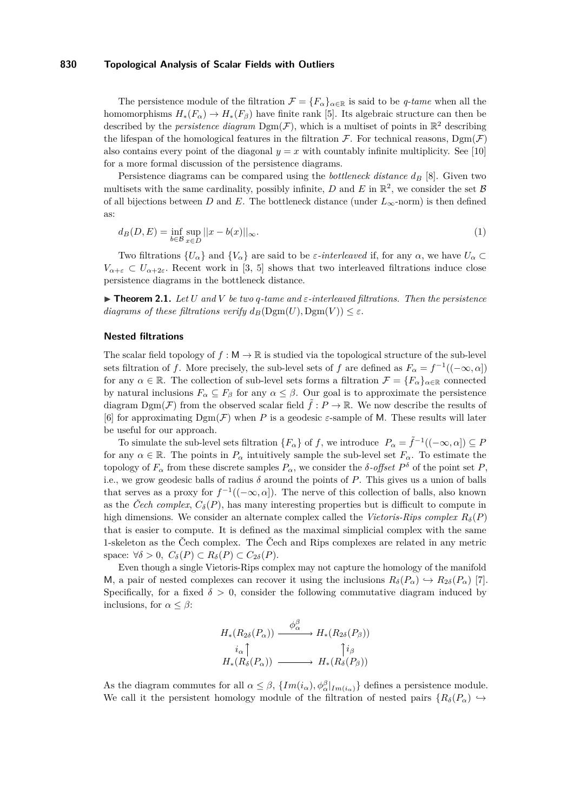The persistence module of the filtration  $\mathcal{F} = \{F_\alpha\}_{\alpha \in \mathbb{R}}$  is said to be *q-tame* when all the homomorphisms  $H_*(F_\alpha) \to H_*(F_\beta)$  have finite rank [\[5\]](#page-14-7). Its algebraic structure can then be described by the *persistence diagram*  $Dgm(\mathcal{F})$ , which is a multiset of points in  $\mathbb{R}^2$  describing the lifespan of the homological features in the filtration  $\mathcal F$ . For technical reasons,  $\mathrm{Dgm}(\mathcal F)$ also contains every point of the diagonal  $y = x$  with countably infinite multiplicity. See [\[10\]](#page-14-8) for a more formal discussion of the persistence diagrams.

Persistence diagrams can be compared using the *bottleneck distance d<sup>B</sup>* [\[8\]](#page-14-9). Given two multisets with the same cardinality, possibly infinite, *D* and *E* in  $\mathbb{R}^2$ , we consider the set *B* of all bijections between *D* and *E*. The bottleneck distance (under  $L_{\infty}$ -norm) is then defined as:

$$
d_B(D, E) = \inf_{b \in \mathcal{B}} \sup_{x \in D} ||x - b(x)||_{\infty}.
$$
\n(1)

Two filtrations  $\{U_\alpha\}$  and  $\{V_\alpha\}$  are said to be *ε*-interleaved if, for any  $\alpha$ , we have  $U_\alpha \subset$  $V_{\alpha+\varepsilon} \subset U_{\alpha+2\varepsilon}$ . Recent work in [\[3,](#page-14-6) [5\]](#page-14-7) shows that two interleaved filtrations induce close persistence diagrams in the bottleneck distance.

<span id="page-3-0"></span>**In Theorem 2.1.** Let U and V be two q-tame and  $\varepsilon$ -interleaved filtrations. Then the persistence *diagrams of these filtrations verify*  $d_B(\text{Dgm}(U), \text{Dgm}(V)) \leq \varepsilon$ .

### **Nested filtrations**

The scalar field topology of  $f : \mathsf{M} \to \mathbb{R}$  is studied via the topological structure of the sub-level sets filtration of *f*. More precisely, the sub-level sets of *f* are defined as  $F_{\alpha} = f^{-1}((-\infty, \alpha])$ for any  $\alpha \in \mathbb{R}$ . The collection of sub-level sets forms a filtration  $\mathcal{F} = \{F_{\alpha}\}_{{\alpha \in \mathbb{R}}}$  connected by natural inclusions  $F_{\alpha} \subseteq F_{\beta}$  for any  $\alpha \leq \beta$ . Our goal is to approximate the persistence diagram  $\text{Dgm}(\mathcal{F})$  from the observed scalar field  $\tilde{f}: P \to \mathbb{R}$ . We now describe the results of [\[6\]](#page-14-2) for approximating  $Dgm(\mathcal{F})$  when *P* is a geodesic *ε*-sample of M. These results will later be useful for our approach.

To simulate the sub-level sets filtration  $\{F_{\alpha}\}\$  of *f*, we introduce  $P_{\alpha} = \tilde{f}^{-1}((-\infty, \alpha]) \subseteq P$ for any  $\alpha \in \mathbb{R}$ . The points in  $P_{\alpha}$  intuitively sample the sub-level set  $F_{\alpha}$ . To estimate the topology of  $F_\alpha$  from these discrete samples  $P_\alpha$ , we consider the *δ-offset*  $P^\delta$  of the point set  $P$ , i.e., we grow geodesic balls of radius  $\delta$  around the points of P. This gives us a union of balls that serves as a proxy for  $f^{-1}((-\infty, \alpha])$ . The nerve of this collection of balls, also known as the *Čech complex*,  $C_{\delta}(P)$ , has many interesting properties but is difficult to compute in high dimensions. We consider an alternate complex called the *Vietoris-Rips complex*  $R_{\delta}(P)$ that is easier to compute. It is defined as the maximal simplicial complex with the same 1-skeleton as the Čech complex. The Čech and Rips complexes are related in any metric space:  $\forall \delta > 0$ ,  $C_{\delta}(P) \subset R_{\delta}(P) \subset C_{2\delta}(P)$ .

Even though a single Vietoris-Rips complex may not capture the homology of the manifold M, a pair of nested complexes can recover it using the inclusions  $R_{\delta}(P_{\alpha}) \hookrightarrow R_{2\delta}(P_{\alpha})$  [\[7\]](#page-14-10). Specifically, for a fixed  $\delta > 0$ , consider the following commutative diagram induced by inclusions, for  $\alpha \leq \beta$ :

$$
H_*(R_{2\delta}(P_\alpha)) \xrightarrow{\phi_\alpha^{\beta}} H_*(R_{2\delta}(P_\beta))
$$
  

$$
i_\alpha \upharpoonright
$$
  

$$
H_*(R_{\delta}(P_\alpha)) \xrightarrow{\qquad \qquad } H_*(R_{\delta}(P_\beta))
$$

As the diagram commutes for all  $\alpha \leq \beta$ ,  $\{Im(i_{\alpha}), \phi_{\alpha}^{\beta}|_{Im(i_{\alpha})}\}\$  defines a persistence module. We call it the persistent homology module of the filtration of nested pairs  ${R_\delta(P_\alpha) \hookrightarrow}$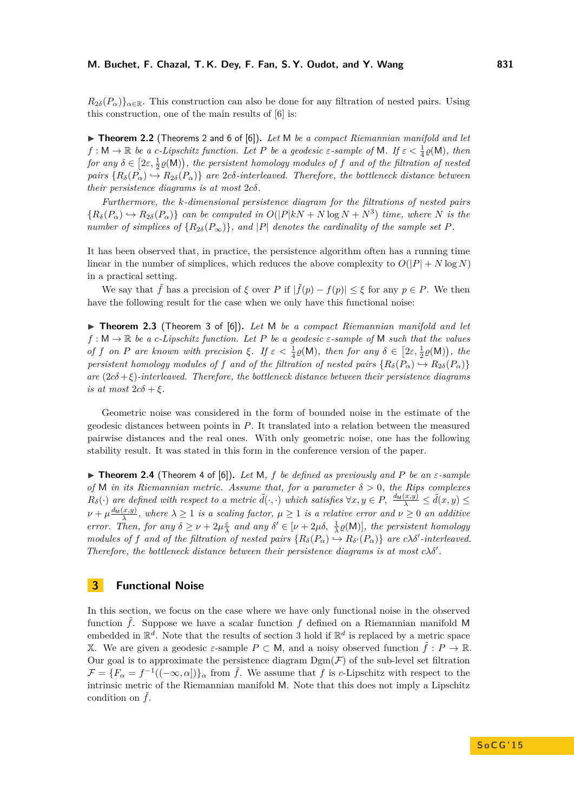$R_{2\delta}(P_\alpha)\}_{\alpha\in\mathbb{R}}$ . This construction can also be done for any filtration of nested pairs. Using this construction, one of the main results of [\[6\]](#page-14-2) is:

▶ **Theorem 2.2** (Theorems 2 and 6 of [\[6\]](#page-14-2)). Let M be a compact Riemannian manifold and let  $f : \mathsf{M} \to \mathbb{R}$  *be a c-Lipschitz function. Let*  $P$  *be a geodesic*  $\varepsilon$ -sample of  $\mathsf{M}$ *. If*  $\varepsilon < \frac{1}{4} \varrho(\mathsf{M})$ *, then*  $for any \delta \in [2\varepsilon, \frac{1}{2}\varrho(M)), the \text{ persistent homology modules of } f \text{ and of the filtration of nested } \delta$ *pairs*  ${R_\delta(P_\alpha) \hookrightarrow R_{2\delta}(P_\alpha)}$  *are* 2*cδ-interleaved. Therefore, the bottleneck distance between their persistence diagrams is at most* 2*cδ.*

*Furthermore, the k-dimensional persistence diagram for the filtrations of nested pairs*  ${R_\delta(P_\alpha) \hookrightarrow R_{2\delta}(P_\alpha)}$  *can be computed in*  $O(|P|kN + N \log N + N^3)$  *time, where N is the number of simplices of*  ${R_{2\delta}(P_{\infty})}$ *, and*  $|P|$  *denotes the cardinality of the sample set P.* 

It has been observed that, in practice, the persistence algorithm often has a running time linear in the number of simplices, which reduces the above complexity to  $O(|P| + N \log N)$ in a practical setting.

We say that  $\tilde{f}$  has a precision of  $\xi$  over  $P$  if  $|\tilde{f}(p) - f(p)| \leq \xi$  for any  $p \in P$ . We then have the following result for the case when we only have this functional noise:

<span id="page-4-1"></span>▶ **Theorem 2.3** (Theorem 3 of [\[6\]](#page-14-2)). Let M be a compact Riemannian manifold and let  $f : \mathsf{M} \to \mathbb{R}$  *be a c-Lipschitz function. Let P be a geodesic*  $\varepsilon$ *-sample of*  $\mathsf{M}$  *such that the values of f on P* are known with precision  $\xi$ . If  $\varepsilon < \frac{1}{4}\varrho(M)$ , then for any  $\delta \in [2\varepsilon, \frac{1}{2}\varrho(M))$ , the *persistent homology modules of f and of the filtration of nested pairs*  $\{R_{\delta}(P_{\alpha}) \to R_{2\delta}(P_{\alpha})\}$ *are* (2*cδ* +*ξ*)*-interleaved. Therefore, the bottleneck distance between their persistence diagrams is at most*  $2c\delta + \xi$ *.* 

Geometric noise was considered in the form of bounded noise in the estimate of the geodesic distances between points in *P*. It translated into a relation between the measured pairwise distances and the real ones. With only geometric noise, one has the following stability result. It was stated in this form in the conference version of the paper.

<span id="page-4-2"></span>**If Theorem 2.4** (Theorem 4 of [\[6\]](#page-14-2)). Let M, f be defined as previously and P be an  $\varepsilon$ -sample *of* M *in its Riemannian metric. Assume that, for a parameter δ >* 0*, the Rips complexes*  $R_\delta(\cdot)$  *are defined with respect to a metric*  $\tilde{d}(\cdot, \cdot)$  *which satisfies*  $\forall x, y \in P$ ,  $\frac{d_M(x, y)}{\lambda} \leq \tilde{d}(x, y) \leq$  $\nu + \mu \frac{d_M(x,y)}{\lambda}$ , where  $\lambda \ge 1$  *is a scaling factor,*  $\mu \ge 1$  *is a relative error and*  $\nu \ge 0$  *an additive error. Then, for any*  $\delta \geq \nu + 2\mu \frac{\varepsilon}{\lambda}$  *and any*  $\delta' \in [\nu + 2\mu\delta, \frac{1}{\lambda}\varrho(\mathsf{M})]$ *, the persistent homology modules of f* and of the filtration of nested pairs  $\{R_\delta(P_\alpha) \to R_{\delta'}(P_\alpha)\}\$  are  $c \lambda \delta'$ -interleaved. *Therefore, the bottleneck distance between their persistence diagrams is at most*  $c\lambda\delta'$ .

### <span id="page-4-0"></span>**3 Functional Noise**

In this section, we focus on the case where we have only functional noise in the observed function  $\tilde{f}$ . Suppose we have a scalar function  $f$  defined on a Riemannian manifold M embedded in  $\mathbb{R}^d$ . Note that the results of section [3](#page-4-0) hold if  $\mathbb{R}^d$  is replaced by a metric space X. We are given a geodesic  $\varepsilon$ -sample  $P \subset M$ , and a noisy observed function  $\tilde{f}: P \to \mathbb{R}$ . Our goal is to approximate the persistence diagram  $Dgm(\mathcal{F})$  of the sub-level set filtration  $\mathcal{F} = \{F_{\alpha} = f^{-1}((-\infty, \alpha])\}_{\alpha}$  from  $\tilde{f}$ . We assume that f is *c*-Lipschitz with respect to the intrinsic metric of the Riemannian manifold M. Note that this does not imply a Lipschitz condition on  $\tilde{f}$ .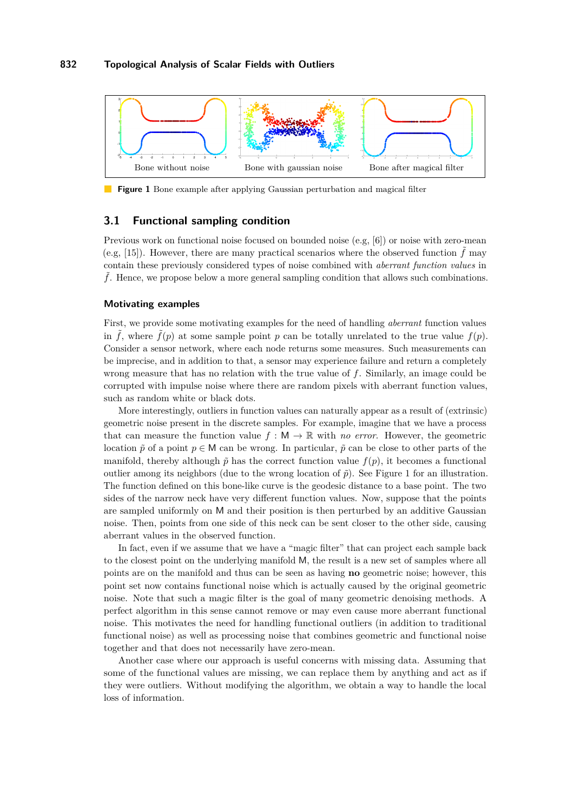<span id="page-5-1"></span>

**Figure 1** Bone example after applying Gaussian perturbation and magical filter

# <span id="page-5-0"></span>**3.1 Functional sampling condition**

Previous work on functional noise focused on bounded noise (e.g, [\[6\]](#page-14-2)) or noise with zero-mean (e.g,  $[15]$ ). However, there are many practical scenarios where the observed function  $f$  may contain these previously considered types of noise combined with *aberrant function values* in ˜*f*. Hence, we propose below a more general sampling condition that allows such combinations.

#### **Motivating examples**

First, we provide some motivating examples for the need of handling *aberrant* function values in  $\tilde{f}$ , where  $\tilde{f}(p)$  at some sample point *p* can be totally unrelated to the true value  $f(p)$ . Consider a sensor network, where each node returns some measures. Such measurements can be imprecise, and in addition to that, a sensor may experience failure and return a completely wrong measure that has no relation with the true value of *f*. Similarly, an image could be corrupted with impulse noise where there are random pixels with aberrant function values, such as random white or black dots.

More interestingly, outliers in function values can naturally appear as a result of (extrinsic) geometric noise present in the discrete samples. For example, imagine that we have a process that can measure the function value  $f : \mathsf{M} \to \mathbb{R}$  with *no error*. However, the geometric location  $\tilde{p}$  of a point  $p \in M$  can be wrong. In particular,  $\tilde{p}$  can be close to other parts of the manifold, thereby although  $\tilde{p}$  has the correct function value  $f(p)$ , it becomes a functional outlier among its neighbors (due to the wrong location of  $\tilde{p}$ ). See Figure [1](#page-5-1) for an illustration. The function defined on this bone-like curve is the geodesic distance to a base point. The two sides of the narrow neck have very different function values. Now, suppose that the points are sampled uniformly on M and their position is then perturbed by an additive Gaussian noise. Then, points from one side of this neck can be sent closer to the other side, causing aberrant values in the observed function.

In fact, even if we assume that we have a "magic filter" that can project each sample back to the closest point on the underlying manifold M, the result is a new set of samples where all points are on the manifold and thus can be seen as having **no** geometric noise; however, this point set now contains functional noise which is actually caused by the original geometric noise. Note that such a magic filter is the goal of many geometric denoising methods. A perfect algorithm in this sense cannot remove or may even cause more aberrant functional noise. This motivates the need for handling functional outliers (in addition to traditional functional noise) as well as processing noise that combines geometric and functional noise together and that does not necessarily have zero-mean.

Another case where our approach is useful concerns with missing data. Assuming that some of the functional values are missing, we can replace them by anything and act as if they were outliers. Without modifying the algorithm, we obtain a way to handle the local loss of information.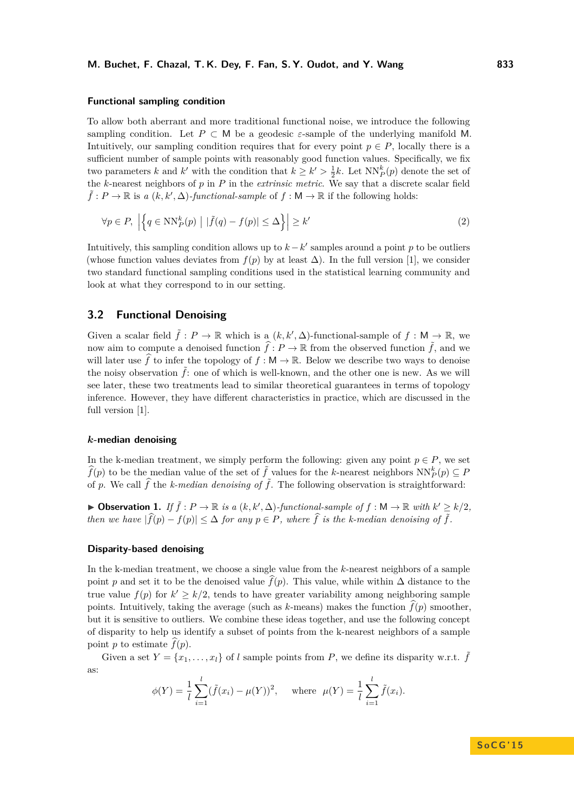### **Functional sampling condition**

To allow both aberrant and more traditional functional noise, we introduce the following sampling condition. Let  $P \subset M$  be a geodesic  $\varepsilon$ -sample of the underlying manifold M. Intuitively, our sampling condition requires that for every point  $p \in P$ , locally there is a sufficient number of sample points with reasonably good function values. Specifically, we fix two parameters *k* and *k*' with the condition that  $k \geq k' > \frac{1}{2}k$ . Let  $NN_P^k(p)$  denote the set of the *k*-nearest neighbors of *p* in *P* in the *extrinsic metric*. We say that a discrete scalar field  $\tilde{f}: P \to \mathbb{R}$  is a  $(k, k', \Delta)$ *-functional-sample* of  $f : \mathsf{M} \to \mathbb{R}$  if the following holds:

<span id="page-6-0"></span>
$$
\forall p \in P, \ \left| \left\{ q \in \text{NN}_P^k(p) \; \middle| \; |\tilde{f}(q) - f(p)| \le \Delta \right\} \right| \ge k' \tag{2}
$$

Intuitively, this sampling condition allows up to  $k - k'$  samples around a point *p* to be outliers (whose function values deviates from  $f(p)$  by at least  $\Delta$ ). In the full version [\[1\]](#page-13-0), we consider two standard functional sampling conditions used in the statistical learning community and look at what they correspond to in our setting.

# **3.2 Functional Denoising**

Given a scalar field  $\tilde{f}: P \to \mathbb{R}$  which is a  $(k, k', \Delta)$ -functional-sample of  $f: \mathsf{M} \to \mathbb{R}$ , we now aim to compute a denoised function  $\hat{f}: P \to \mathbb{R}$  from the observed function  $\tilde{f}$ , and we will later use  $\hat{f}$  to infer the topology of  $f : M \to \mathbb{R}$ . Below we describe two ways to denoise the noisy observation  $\tilde{f}$ : one of which is well-known, and the other one is new. As we will see later, these two treatments lead to similar theoretical guarantees in terms of topology inference. However, they have different characteristics in practice, which are discussed in the full version [\[1\]](#page-13-0).

#### *k***-median denoising**

In the k-median treatment, we simply perform the following: given any point  $p \in P$ , we set  $\widehat{f}(p)$  to be the median value of the set of  $\widetilde{f}$  values for the *k*-nearest neighbors  $NN_P^k(p) \subseteq P$ of *p*. We call  $\hat{f}$  the *k-median denoising of*  $\tilde{f}$ . The following observation is straightforward:

▶ Observation 1. *If*  $\tilde{f}: P \to \mathbb{R}$  *is a*  $(k, k', \Delta)$ *-functional-sample of*  $f: M \to \mathbb{R}$  *with*  $k' \geq k/2$ *, then we have*  $|\hat{f}(p) - f(p)| \leq \Delta$  *for any*  $p \in P$ *, where*  $\hat{f}$  *is the k-median denoising of*  $\tilde{f}$ *.* 

#### **Disparity-based denoising**

In the k-median treatment, we choose a single value from the *k*-nearest neighbors of a sample point *p* and set it to be the denoised value  $f(p)$ . This value, while within ∆ distance to the true value  $f(p)$  for  $k' \geq k/2$ , tends to have greater variability among neighboring sample points. Intuitively, taking the average (such as *k*-means) makes the function  $\hat{f}(p)$  smoother, but it is sensitive to outliers. We combine these ideas together, and use the following concept of disparity to help us identify a subset of points from the k-nearest neighbors of a sample point *p* to estimate  $\widehat{f}(p)$ .

Given a set  $Y = \{x_1, \ldots, x_l\}$  of *l* sample points from *P*, we define its disparity w.r.t.  $\tilde{f}$ as:

$$
\phi(Y) = \frac{1}{l} \sum_{i=1}^{l} (\tilde{f}(x_i) - \mu(Y))^2, \quad \text{where } \mu(Y) = \frac{1}{l} \sum_{i=1}^{l} \tilde{f}(x_i).
$$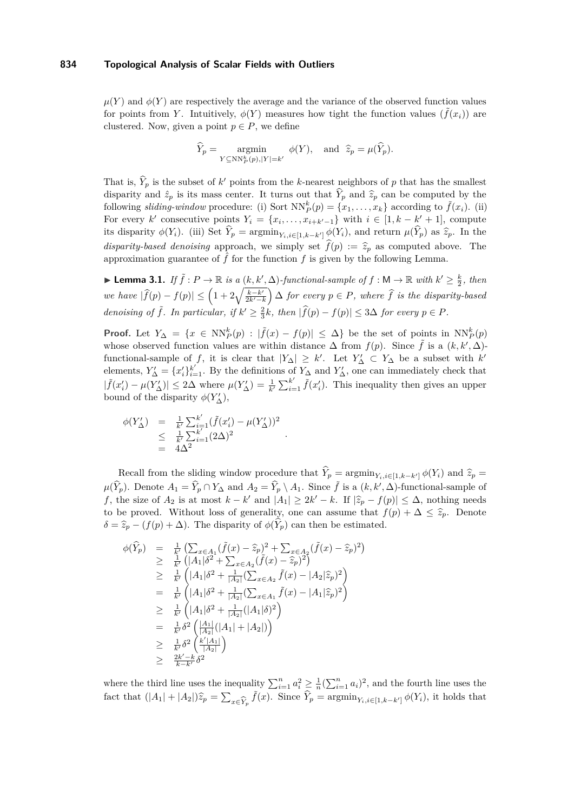$\mu(Y)$  and  $\phi(Y)$  are respectively the average and the variance of the observed function values for points from *Y*. Intuitively,  $\phi(Y)$  measures how tight the function values  $(\tilde{f}(x_i))$  are clustered. Now, given a point  $p \in P$ , we define

$$
\widehat{Y}_p = \operatorname*{argmin}_{Y \subseteq \text{NN}_p^k(p), |Y| = k'} \phi(Y), \text{ and } \widehat{z}_p = \mu(\widehat{Y}_p).
$$

That is,  $\hat{Y}_p$  is the subset of *k*' points from the *k*-nearest neighbors of *p* that has the smallest disparity and  $\hat{z}_p$  is its mass center. It turns out that  $\hat{Y}_p$  and  $\hat{z}_p$  can be computed by the following *sliding-window* procedure: (i) Sort  $NN_P^k(p) = \{x_1, \ldots, x_k\}$  according to  $\tilde{f}(x_i)$ . (ii) For every *k*<sup> $\prime$ </sup> consecutive points  $Y_i = \{x_i, \ldots, x_{i+k'-1}\}\$  with  $i \in [1, k - k' + 1]$ , compute its disparity  $\phi(Y_i)$ . (iii) Set  $Y_p = \operatorname{argmin}_{Y_i, i \in [1, k-k']} \phi(Y_i)$ , and return  $\mu(Y_p)$  as  $\hat{z}_p$ . In the *disparity-based denoising* approach, we simply set  $f(p) := \hat{z}_p$  as computed above. The approximation guarantee of  $\hat{f}$  for the function  $f$  is given by the following Lemma.

► Lemma 3.1. *If*  $\tilde{f}: P \to \mathbb{R}$  *is a*  $(k, k', \Delta)$ *-functional-sample of*  $f : M \to \mathbb{R}$  *with*  $k' \geq \frac{k}{2}$ *, then*  $w$ *e* have  $|\widehat{f}(p) - f(p)| \leq (1 + 2\sqrt{\frac{k-k'}{2k'-k}}) \Delta$  for every  $p \in P$ , where  $\widehat{f}$  is the disparity-based denoising of  $\tilde{f}$ *. In particular, if*  $k' \geq \frac{2}{3}k$ *, then*  $|\hat{f}(p) - f(p)| \leq 3\Delta$  for every  $p \in P$ *.* 

**Proof.** Let  $Y_{\Delta} = \{x \in \text{NN}_P^k(p) : |\tilde{f}(x) - f(p)| \leq \Delta\}$  be the set of points in  $\text{NN}_P^k(p)$ whose observed function values are within distance  $\Delta$  from  $f(p)$ . Since  $\tilde{f}$  is a  $(k, k', \Delta)$ functional-sample of *f*, it is clear that  $|Y_\Delta| \geq k'$ . Let  $Y'_\Delta \subset Y_\Delta$  be a subset with  $k'$ elements,  $Y'_{\Delta} = \{x'_i\}_{i=1}^{k'}$ . By the definitions of  $Y_{\Delta}$  and  $Y'_{\Delta}$ , one can immediately check that  $|\tilde{f}(x'_i) - \mu(Y'_\Delta)| \leq 2\Delta$  where  $\mu(Y'_\Delta) = \frac{1}{k'} \sum_{i=1}^{k'}$  $\int_{i=1}^{k'} \tilde{f}(x'_i)$ . This inequality then gives an upper bound of the disparity  $\phi(Y'_{\Delta})$ ,

$$
\begin{array}{rcl} \phi(Y'_\Delta) & = & \frac{1}{k'} \sum_{i=1}^{k'} (\tilde{f}(x'_i) - \mu(Y'_\Delta))^2 \\ & \leq & \frac{1}{k'} \sum_{i=1}^{k'} (2\Delta)^2 \\ & = & 4\Delta^2 \end{array}
$$

Recall from the sliding window procedure that  $Y_p = \operatorname{argmin}_{Y_i, i \in [1, k-k']} \phi(Y_i)$  and  $\hat{z}_p =$  $\mu(\widehat{Y}_p)$ . Denote  $A_1 = \widehat{Y}_p \cap Y_\Delta$  and  $A_2 = \widehat{Y}_p \setminus A_1$ . Since  $\tilde{f}$  is a  $(k, k', \Delta)$ -functional-sample of *f*, the size of *A*<sub>2</sub> is at most  $k - k'$  and  $|A_1| \geq 2k' - k$ . If  $|\hat{z}_p - f(p)| \leq \Delta$ , nothing needs to be presented. Without loss of generality, and some generality  $f(x) + \Delta \leq \hat{x}$ . Denote to be proved. Without loss of generality, one can assume that  $f(p) + \Delta \leq \hat{z}_p$ . Denote  $\delta = \hat{z}_p - (f(p) + \Delta)$ . The disparity of  $\phi(\hat{Y}_p)$  can then be estimated.

*.*

$$
\begin{array}{rcl}\n\phi(\widehat{Y}_p) & = & \frac{1}{k'} \left( \sum_{x \in A_1} (\tilde{f}(x) - \widehat{z}_p)^2 + \sum_{x \in A_2} (\tilde{f}(x) - \widehat{z}_p)^2 \right) \\
& \geq & \frac{1}{k'} \left( |A_1| \delta^2 + \sum_{x \in A_2} (\tilde{f}(x) - \widehat{z}_p)^2 \right) \\
& \geq & \frac{1}{k'} \left( |A_1| \delta^2 + \frac{1}{|A_2|} (\sum_{x \in A_2} \tilde{f}(x) - |A_2| \widehat{z}_p)^2 \right) \\
& = & \frac{1}{k'} \left( |A_1| \delta^2 + \frac{1}{|A_2|} (\sum_{x \in A_1} \tilde{f}(x) - |A_1| \widehat{z}_p)^2 \right) \\
& \geq & \frac{1}{k'} \left( |A_1| \delta^2 + \frac{1}{|A_2|} (|A_1| \delta)^2 \right) \\
& = & \frac{1}{k'} \delta^2 \left( \frac{|A_1|}{|A_2|} (|A_1| + |A_2|) \right) \\
& \geq & \frac{1}{k'} \delta^2 \left( \frac{k'|A_1|}{|A_2|} \right) \\
& \geq & \frac{2k'-k}{k-\delta^2} \delta^2\n\end{array}
$$

where the third line uses the inequality  $\sum_{i=1}^{n} a_i^2 \geq \frac{1}{n} (\sum_{i=1}^{n} a_i)^2$ , and the fourth line uses the fact that  $(|A_1|+|A_2|)\hat{z}_p = \sum_{x \in \widehat{Y}_p} \tilde{f}(x)$ . Since  $\hat{Y}_p = \operatorname{argmin}_{Y_i, i \in [1, k-k']} \phi(Y_i)$ , it holds that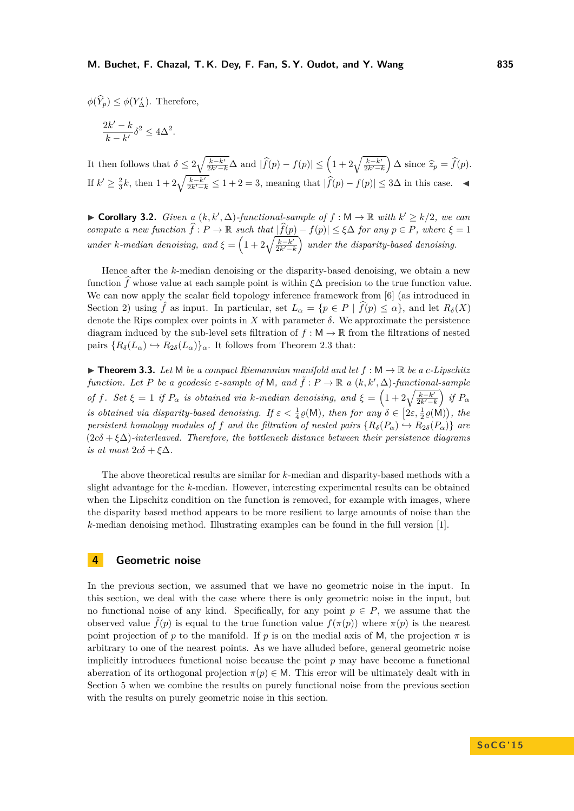$\phi(\widehat{Y}_p) \leq \phi(Y'_\Delta)$ . Therefore,

$$
\frac{2k'-k}{k-k'}\delta^2\leq 4\Delta^2.
$$

It then follows that  $\delta \leq 2\sqrt{\frac{k-k'}{2k'-k}}\Delta$  and  $|\widehat{f}(p) - f(p)| \leq \left(1 + 2\sqrt{\frac{k-k'}{2k'-k}}\right)\Delta$  since  $\widehat{z}_p = \widehat{f}(p)$ . If  $k' \geq \frac{2}{3}k$ , then  $1 + 2\sqrt{\frac{k-k'}{2k'-k}} \leq 1 + 2 = 3$ , meaning that  $|\widehat{f}(p) - f(p)| \leq 3\Delta$  in this case. ◄

<span id="page-8-0"></span>► **Corollary 3.2.** *Given a*  $(k, k', \Delta)$ *-functional-sample of*  $f : M \to \mathbb{R}$  *with*  $k' \geq k/2$ *, we can compute a new function*  $\hat{f}: P \to \mathbb{R}$  *such that*  $|\hat{f}(p) - f(p)| \leq \xi \Delta$  *for any*  $p \in P$ *, where*  $\xi = 1$ *under k*-median denoising, and  $\xi = \left(1 + 2\sqrt{\frac{k-k'}{2k'-k}}\right)$  *under the disparity-based denoising.* 

Hence after the *k*-median denoising or the disparity-based denoising, we obtain a new function  $\hat{f}$  whose value at each sample point is within  $\xi\Delta$  precision to the true function value. We can now apply the scalar field topology inference framework from [\[6\]](#page-14-2) (as introduced in Section [2\)](#page-2-0) using  $\hat{f}$  as input. In particular, set  $L_{\alpha} = \{p \in P \mid \hat{f}(p) \leq \alpha\}$ , and let  $R_{\delta}(X)$ denote the Rips complex over points in  $X$  with parameter  $\delta$ . We approximate the persistence diagram induced by the sub-level sets filtration of  $f : M \to \mathbb{R}$  from the filtrations of nested pairs  ${R_\delta(L_\alpha) \hookrightarrow R_{2\delta}(L_\alpha)}_\alpha$ . It follows from Theorem [2.3](#page-4-1) that:

 $\triangleright$  **Theorem 3.3.** Let M be a compact Riemannian manifold and let  $f : M \to \mathbb{R}$  be a c-Lipschitz *function. Let P be a geodesic*  $\varepsilon$ *-sample of* M, and  $\tilde{f}: P \to \mathbb{R}$  a  $(k, k', \Delta)$ *-functional-sample of f. Set*  $\xi = 1$  *if*  $P_{\alpha}$  *is obtained via k-median denoising, and*  $\xi = \left(1 + 2\sqrt{\frac{k-k'}{2k'-k}}\right)$  *if*  $P_{\alpha}$ *is obtained via disparity-based denoising. If*  $\varepsilon < \frac{1}{4}\varrho(\mathsf{M})$ , then for any  $\delta \in [2\varepsilon, \frac{1}{2}\varrho(\mathsf{M}))$ , the *persistent homology modules of f and the filtration of nested pairs*  $\{R_\delta(P_\alpha) \to R_{2\delta}(P_\alpha)\}$  *are* (2*cδ* + *ξ*∆)*-interleaved. Therefore, the bottleneck distance between their persistence diagrams is at most*  $2c\delta + \xi\Delta$ *.* 

The above theoretical results are similar for *k*-median and disparity-based methods with a slight advantage for the *k*-median. However, interesting experimental results can be obtained when the Lipschitz condition on the function is removed, for example with images, where the disparity based method appears to be more resilient to large amounts of noise than the *k*-median denoising method. Illustrating examples can be found in the full version [\[1\]](#page-13-0).

# **4 Geometric noise**

In the previous section, we assumed that we have no geometric noise in the input. In this section, we deal with the case where there is only geometric noise in the input, but no functional noise of any kind. Specifically, for any point  $p \in P$ , we assume that the observed value  $\tilde{f}(p)$  is equal to the true function value  $f(\pi(p))$  where  $\pi(p)$  is the nearest point projection of *p* to the manifold. If *p* is on the medial axis of M, the projection  $\pi$  is arbitrary to one of the nearest points. As we have alluded before, general geometric noise implicitly introduces functional noise because the point *p* may have become a functional aberration of its orthogonal projection  $\pi(p) \in M$ . This error will be ultimately dealt with in Section [5](#page-12-0) when we combine the results on purely functional noise from the previous section with the results on purely geometric noise in this section.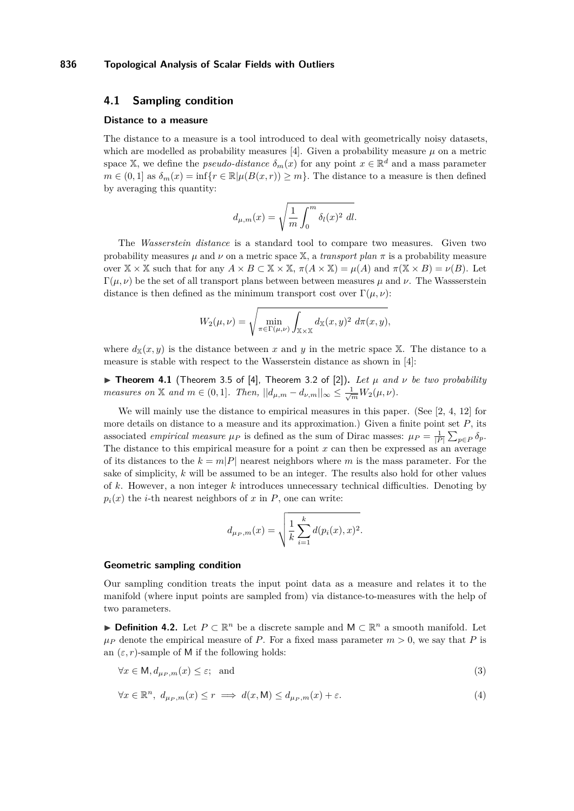# **4.1 Sampling condition**

#### **Distance to a measure**

The distance to a measure is a tool introduced to deal with geometrically noisy datasets, which are modelled as probability measures  $[4]$ . Given a probability measure  $\mu$  on a metric space X, we define the *pseudo-distance*  $\delta_m(x)$  for any point  $x \in \mathbb{R}^d$  and a mass parameter  $m \in (0,1]$  as  $\delta_m(x) = \inf\{r \in \mathbb{R} | \mu(B(x,r)) \geq m\}$ . The distance to a measure is then defined by averaging this quantity:

$$
d_{\mu,m}(x) = \sqrt{\frac{1}{m} \int_0^m \delta_l(x)^2 \, dl}.
$$

The *Wasserstein distance* is a standard tool to compare two measures. Given two probability measures  $\mu$  and  $\nu$  on a metric space X, a *transport plan*  $\pi$  is a probability measure over  $\mathbb{X} \times \mathbb{X}$  such that for any  $A \times B \subset \mathbb{X} \times \mathbb{X}$ ,  $\pi(A \times \mathbb{X}) = \mu(A)$  and  $\pi(\mathbb{X} \times B) = \nu(B)$ . Let Γ(*µ, ν*) be the set of all transport plans between between measures *µ* and *ν*. The Wassserstein distance is then defined as the minimum transport cost over  $\Gamma(\mu, \nu)$ :

$$
W_2(\mu,\nu) = \sqrt{\min_{\pi \in \Gamma(\mu,\nu)} \int_{\mathbb{X} \times \mathbb{X}} d_{\mathbb{X}}(x,y)^2 d\pi(x,y)},
$$

where  $d_{\mathbb{X}}(x, y)$  is the distance between x and y in the metric space X. The distance to a measure is stable with respect to the Wasserstein distance as shown in [\[4\]](#page-14-5):

 $\triangleright$  **Theorem 4.1** (Theorem 3.5 of [\[4\]](#page-14-5), Theorem 3.2 of [\[2\]](#page-13-1)). Let  $\mu$  and  $\nu$  be two probability *measures on*  $\mathbb{X}$  *and*  $m \in (0,1]$ *. Then,*  $||d_{\mu,m} - d_{\nu,m}||_{\infty} \leq \frac{1}{\sqrt{m}} W_2(\mu,\nu)$ *.* 

We will mainly use the distance to empirical measures in this paper. (See  $[2, 4, 12]$  $[2, 4, 12]$  $[2, 4, 12]$  $[2, 4, 12]$  $[2, 4, 12]$  for more details on distance to a measure and its approximation.) Given a finite point set *P*, its associated *empirical measure*  $\mu_P$  is defined as the sum of Dirac masses:  $\mu_P = \frac{1}{|P|} \sum_{p \in P} \delta_p$ . The distance to this empirical measure for a point *x* can then be expressed as an average of its distances to the  $k = m|P|$  nearest neighbors where *m* is the mass parameter. For the sake of simplicity, *k* will be assumed to be an integer. The results also hold for other values of *k*. However, a non integer *k* introduces unnecessary technical difficulties. Denoting by  $p_i(x)$  the *i*-th nearest neighbors of *x* in *P*, one can write:

$$
d_{\mu_P,m}(x) = \sqrt{\frac{1}{k} \sum_{i=1}^{k} d(p_i(x), x)^2}.
$$

#### **Geometric sampling condition**

Our sampling condition treats the input point data as a measure and relates it to the manifold (where input points are sampled from) via distance-to-measures with the help of two parameters.

**Definition 4.2.** Let  $P \subset \mathbb{R}^n$  be a discrete sample and  $M \subset \mathbb{R}^n$  a smooth manifold. Let  $\mu$ <sup>*P*</sup> denote the empirical measure of *P*. For a fixed mass parameter  $m > 0$ , we say that *P* is an  $(\varepsilon, r)$ -sample of M if the following holds:

<span id="page-9-0"></span>
$$
\forall x \in \mathsf{M}, d_{\mu_P, m}(x) \le \varepsilon; \quad \text{and} \tag{3}
$$

<span id="page-9-1"></span>
$$
\forall x \in \mathbb{R}^n, \ d_{\mu_P, m}(x) \le r \implies d(x, M) \le d_{\mu_P, m}(x) + \varepsilon. \tag{4}
$$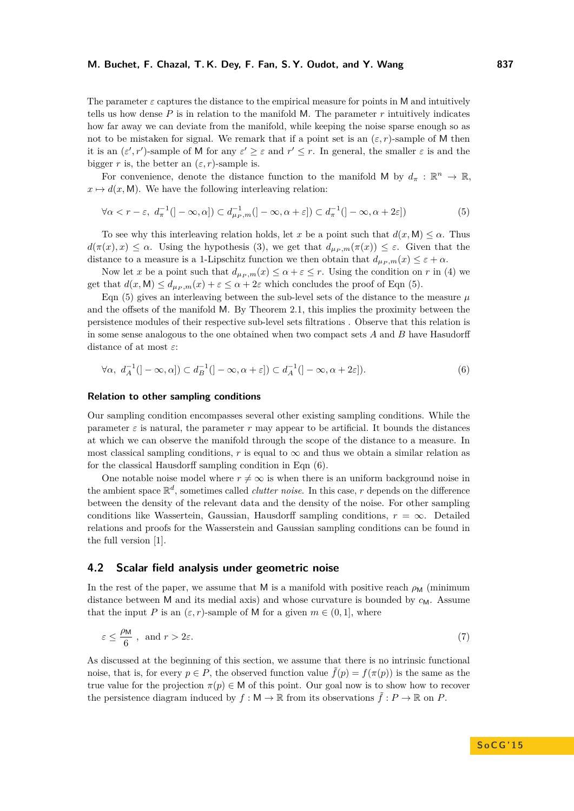#### **M. Buchet, F. Chazal, T. K. Dey, F. Fan, S. Y. Oudot, and Y. Wang 837**

The parameter  $\varepsilon$  captures the distance to the empirical measure for points in M and intuitively tells us how dense *P* is in relation to the manifold M. The parameter *r* intuitively indicates how far away we can deviate from the manifold, while keeping the noise sparse enough so as not to be mistaken for signal. We remark that if a point set is an  $(\varepsilon, r)$ -sample of M then it is an  $(\varepsilon', r')$ -sample of M for any  $\varepsilon' \geq \varepsilon$  and  $r' \leq r$ . In general, the smaller  $\varepsilon$  is and the bigger *r* is, the better an  $(\varepsilon, r)$ -sample is.

For convenience, denote the distance function to the manifold M by  $d_{\pi}: \mathbb{R}^n \to \mathbb{R}$ ,  $x \mapsto d(x, M)$ . We have the following interleaving relation:

<span id="page-10-0"></span>
$$
\forall \alpha < r - \varepsilon, \ d_{\pi}^{-1}(]-\infty, \alpha]) \subset d_{\mu_P, m}^{-1}(]-\infty, \alpha + \varepsilon]) \subset d_{\pi}^{-1}(]-\infty, \alpha + 2\varepsilon])\tag{5}
$$

To see why this interleaving relation holds, let x be a point such that  $d(x, M) \leq \alpha$ . Thus  $d(\pi(x), x) \leq \alpha$ . Using the hypothesis [\(3\)](#page-9-0), we get that  $d_{\mu_P,m}(\pi(x)) \leq \varepsilon$ . Given that the distance to a measure is a 1-Lipschitz function we then obtain that  $d_{\mu_P,m}(x) \leq \varepsilon + \alpha$ .

Now let *x* be a point such that  $d_{\mu_P,m}(x) \leq \alpha + \varepsilon \leq r$ . Using the condition on *r* in [\(4\)](#page-9-1) we get that  $d(x, M) \leq d_{\mu_P,m}(x) + \varepsilon \leq \alpha + 2\varepsilon$  which concludes the proof of Eqn [\(5\)](#page-10-0).

Eqn [\(5\)](#page-10-0) gives an interleaving between the sub-level sets of the distance to the measure  $\mu$ and the offsets of the manifold M. By Theorem [2.1,](#page-3-0) this implies the proximity between the persistence modules of their respective sub-level sets filtrations . Observe that this relation is in some sense analogous to the one obtained when two compact sets *A* and *B* have Hasudorff distance of at most *ε*:

<span id="page-10-1"></span>
$$
\forall \alpha, \ d_A^{-1}(]-\infty, \alpha]) \subset d_B^{-1}(]-\infty, \alpha + \varepsilon]) \subset d_A^{-1}(]-\infty, \alpha + 2\varepsilon]). \tag{6}
$$

#### **Relation to other sampling conditions**

Our sampling condition encompasses several other existing sampling conditions. While the parameter  $\varepsilon$  is natural, the parameter  $r$  may appear to be artificial. It bounds the distances at which we can observe the manifold through the scope of the distance to a measure. In most classical sampling conditions,  $r$  is equal to  $\infty$  and thus we obtain a similar relation as for the classical Hausdorff sampling condition in Eqn [\(6\)](#page-10-1).

One notable noise model where  $r \neq \infty$  is when there is an uniform background noise in the ambient space R *d* , sometimes called *clutter noise*. In this case, *r* depends on the difference between the density of the relevant data and the density of the noise. For other sampling conditions like Wassertein, Gaussian, Hausdorff sampling conditions,  $r = \infty$ . Detailed relations and proofs for the Wasserstein and Gaussian sampling conditions can be found in the full version [\[1\]](#page-13-0).

### **4.2 Scalar field analysis under geometric noise**

In the rest of the paper, we assume that M is a manifold with positive reach  $\rho_M$  (minimum distance between M and its medial axis) and whose curvature is bounded by  $c_M$ . Assume that the input *P* is an  $(\varepsilon, r)$ -sample of M for a given  $m \in (0, 1]$ , where

<span id="page-10-2"></span>
$$
\varepsilon \le \frac{\rho_{\mathsf{M}}}{6} \ , \ \text{and} \ r > 2\varepsilon. \tag{7}
$$

As discussed at the beginning of this section, we assume that there is no intrinsic functional noise, that is, for every  $p \in P$ , the observed function value  $\tilde{f}(p) = f(\pi(p))$  is the same as the true value for the projection  $\pi(p) \in M$  of this point. Our goal now is to show how to recover the persistence diagram induced by  $f : \mathsf{M} \to \mathbb{R}$  from its observations  $\tilde{f} : P \to \mathbb{R}$  on *P*.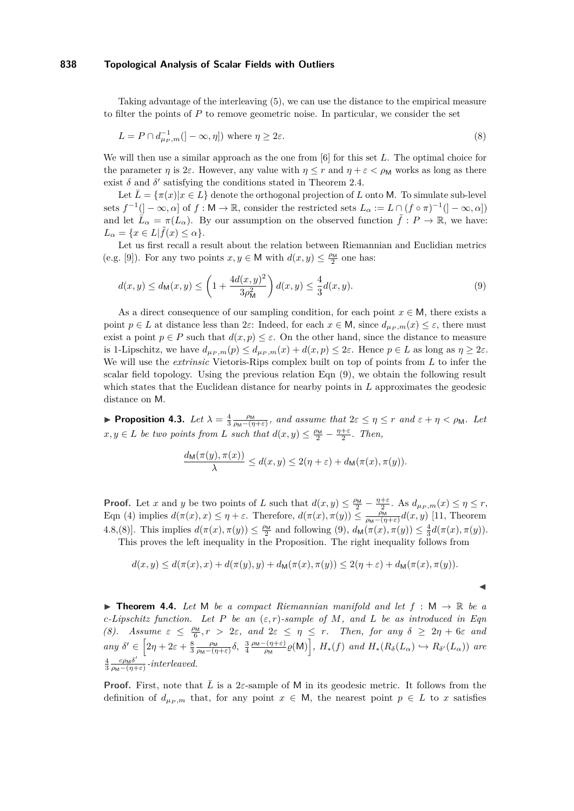Taking advantage of the interleaving [\(5\)](#page-10-0), we can use the distance to the empirical measure to filter the points of *P* to remove geometric noise. In particular, we consider the set

<span id="page-11-1"></span>
$$
L = P \cap d_{\mu_P, m}^{-1} (]-\infty, \eta]) \text{ where } \eta \ge 2\varepsilon. \tag{8}
$$

We will then use a similar approach as the one from [\[6\]](#page-14-2) for this set *L*. The optimal choice for the parameter *η* is 2*ε*. However, any value with  $\eta \leq r$  and  $\eta + \varepsilon < \rho_M$  works as long as there exist  $\delta$  and  $\delta'$  satisfying the conditions stated in Theorem [2.4.](#page-4-2)

Let  $\bar{L} = {\pi(x)|x \in L}$  denote the orthogonal projection of *L* onto M. To simulate sub-level sets  $f^{-1}(]-\infty,\alpha]$  of  $f:\mathsf{M}\to\mathbb{R}$ , consider the restricted sets  $L_{\alpha}:=L\cap(f\circ\pi)^{-1}(]-\infty,\alpha]$ and let  $\bar{L}_{\alpha} = \pi(L_{\alpha})$ . By our assumption on the observed function  $\tilde{f}: P \to \mathbb{R}$ , we have:  $L_{\alpha} = \{x \in L | \tilde{f}(x) \leq \alpha\}.$ 

Let us first recall a result about the relation between Riemannian and Euclidian metrics (e.g. [\[9\]](#page-14-13)). For any two points  $x, y \in M$  with  $d(x, y) \leq \frac{\rho_M}{2}$  one has:

<span id="page-11-0"></span>
$$
d(x,y) \le d_{\mathsf{M}}(x,y) \le \left(1 + \frac{4d(x,y)^2}{3\rho_{\mathsf{M}}^2}\right) d(x,y) \le \frac{4}{3}d(x,y).
$$
\n(9)

As a direct consequence of our sampling condition, for each point  $x \in M$ , there exists a point  $p \in L$  at distance less than  $2\varepsilon$ : Indeed, for each  $x \in M$ , since  $d_{\mu,p,m}(x) \leq \varepsilon$ , there must exist a point  $p \in P$  such that  $d(x, p) \leq \varepsilon$ . On the other hand, since the distance to measure is 1-Lipschitz, we have  $d_{\mu_P,m}(p) \leq d_{\mu_P,m}(x) + d(x,p) \leq 2\varepsilon$ . Hence  $p \in L$  as long as  $\eta \geq 2\varepsilon$ . We will use the *extrinsic* Vietoris-Rips complex built on top of points from *L* to infer the scalar field topology. Using the previous relation Eqn [\(9\)](#page-11-0), we obtain the following result which states that the Euclidean distance for nearby points in *L* approximates the geodesic distance on M.

<span id="page-11-2"></span>**Proposition 4.3.** Let  $\lambda = \frac{4}{3} \frac{\rho_M}{\rho_M - (\eta + \varepsilon)}$ , and assume that  $2\varepsilon \leq \eta \leq r$  and  $\varepsilon + \eta < \rho_M$ . Let  $x, y \in L$  *be two points from L such that*  $d(x, y) \leq \frac{\rho_M}{2} - \frac{\eta + \varepsilon}{2}$ . Then,

$$
\frac{d_{\mathsf{M}}(\pi(y), \pi(x))}{\lambda} \leq d(x, y) \leq 2(\eta + \varepsilon) + d_{\mathsf{M}}(\pi(x), \pi(y)).
$$

**Proof.** Let *x* and *y* be two points of *L* such that  $d(x, y) \leq \frac{\rho_M}{2} - \frac{\eta + \varepsilon}{2}$ . As  $d_{\mu_P, m}(x) \leq \eta \leq r$ , Eqn [\(4\)](#page-9-1) implies  $d(\pi(x), x) \leq \eta + \varepsilon$ . Therefore,  $d(\pi(x), \pi(y)) \leq \frac{\rho_{\mathsf{M}}}{\rho_{\mathsf{M}} - (\eta + \varepsilon)} d(x, y)$  [\[11,](#page-14-14) Theorem 4.8,(8). This implies  $d(\pi(x), \pi(y)) \leq \frac{\rho_M}{2}$  and following [\(9\)](#page-11-0),  $d_M(\pi(x), \pi(y)) \leq \frac{4}{3}d(\pi(x), \pi(y))$ .

This proves the left inequality in the Proposition. The right inequality follows from

$$
d(x, y) \le d(\pi(x), x) + d(\pi(y), y) + d_{\mathsf{M}}(\pi(x), \pi(y)) \le 2(\eta + \varepsilon) + d_{\mathsf{M}}(\pi(x), \pi(y)).
$$

J

<span id="page-11-3"></span>**► Theorem 4.4.** Let M be a compact Riemannian manifold and let  $f : M \rightarrow \mathbb{R}$  be a *c-Lipschitz function. Let P be an* (*ε, r*)*-sample of M, and L be as introduced in Eqn [\(8\)](#page-11-1).* Assume  $\epsilon \leq \frac{\rho_M}{6}, r > 2\varepsilon$ , and  $2\varepsilon \leq \eta \leq r$ . Then, for any  $\delta \geq 2\eta + 6\varepsilon$  and 6 *any δ'* ∈  $\left[2\eta + 2\varepsilon + \frac{8}{3} \frac{\rho_{\text{M}}}{\rho_{\text{M}} - (\eta + \varepsilon)} \delta, \frac{3}{4} \frac{\rho_{\text{M}} - (\eta + \varepsilon)}{\rho_{\text{M}}} \right]$  $\frac{P(n+1)}{P(N)}$   $\varrho(M)$ ,  $H_*(f)$  *and*  $H_*(R_\delta(L_\alpha) \hookrightarrow R_{\delta'}(L_\alpha))$  *are*  $rac{4}{3} \frac{c\rho_M \delta'}{\rho_M - (\eta + \frac{1}{2})}$  $\frac{c\rho_M\delta'}{\rho_M-(\eta+\varepsilon)}$ -interleaved.

**Proof.** First, note that  $\overline{L}$  is a 2*ε*-sample of M in its geodesic metric. It follows from the definition of  $d_{\mu_{P},m}$  that, for any point  $x \in M$ , the nearest point  $p \in L$  to x satisfies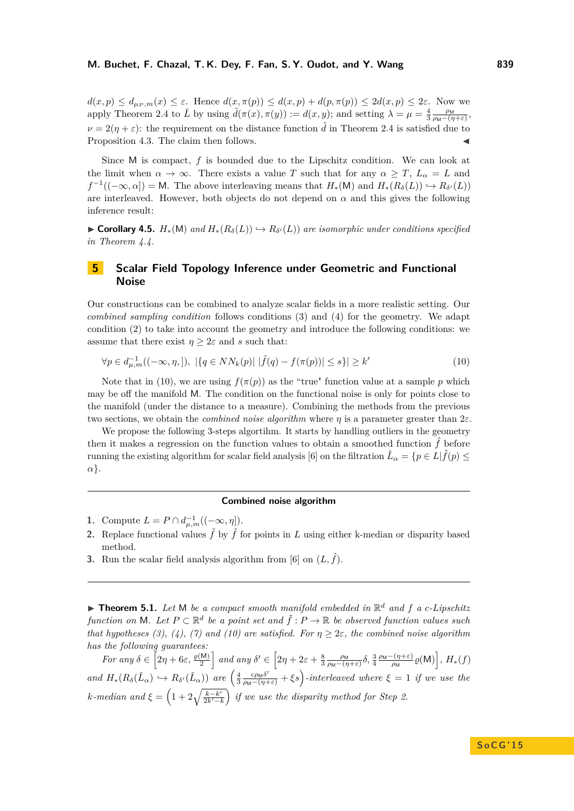$d(x, p) \leq d_{\mu_P, m}(x) \leq \varepsilon$ . Hence  $d(x, \pi(p)) \leq d(x, p) + d(p, \pi(p)) \leq 2d(x, p) \leq 2\varepsilon$ . Now we apply Theorem [2.4](#page-4-2) to  $\overline{L}$  by using  $\tilde{d}(\pi(x), \pi(y)) := d(x, y)$ ; and setting  $\lambda = \mu = \frac{4}{3} \frac{\rho_M}{\rho_M - (\eta + \varepsilon)}$ ,  $\nu = 2(\eta + \varepsilon)$ : the requirement on the distance function  $\tilde{d}$  in Theorem [2.4](#page-4-2) is satisfied due to Proposition [4.3.](#page-11-2) The claim then follows.

Since M is compact, *f* is bounded due to the Lipschitz condition. We can look at the limit when  $\alpha \to \infty$ . There exists a value *T* such that for any  $\alpha \geq T$ ,  $L_{\alpha} = L$  and  $f^{-1}((-\infty, \alpha]) = M$ . The above interleaving means that  $H_*(M)$  and  $H_*(R_\delta(L)) \hookrightarrow R_{\delta'}(L)$ are interleaved. However, both objects do not depend on  $\alpha$  and this gives the following inference result:

**► Corollary 4.5.**  $H_*(M)$  and  $H_*(R_\delta(L)) \hookrightarrow R_{\delta'}(L)$  are isomorphic under conditions specified *in Theorem [4.4.](#page-11-3)*

# <span id="page-12-0"></span>**5 Scalar Field Topology Inference under Geometric and Functional Noise**

Our constructions can be combined to analyze scalar fields in a more realistic setting. Our *combined sampling condition* follows conditions [\(3\)](#page-9-0) and [\(4\)](#page-9-1) for the geometry. We adapt condition [\(2\)](#page-6-0) to take into account the geometry and introduce the following conditions: we assume that there exist  $\eta \geq 2\varepsilon$  and *s* such that:

$$
\forall p \in d_{\mu,m}^{-1}((-\infty, \eta,]), \ |\{q \in NN_k(p)| \ |\tilde{f}(q) - f(\pi(p))| \le s\}| \ge k' \tag{10}
$$

Note that in [\(10\)](#page-12-1), we are using  $f(\pi(p))$  as the "true" function value at a sample p which may be off the manifold M. The condition on the functional noise is only for points close to the manifold (under the distance to a measure). Combining the methods from the previous two sections, we obtain the *combined noise algorithm* where *η* is a parameter greater than 2*ε*.

We propose the following 3-steps algortihm. It starts by handling outliers in the geometry then it makes a regression on the function values to obtain a smoothed function  $\hat{f}$  before running the existing algorithm for scalar field analysis [\[6\]](#page-14-2) on the filtration  $\hat{L}_{\alpha} = \{p \in L | \hat{f}(p) \leq \hat{f}(p)\}$ *α*}.

## <span id="page-12-1"></span>**Combined noise algorithm**

- **1.** Compute  $L = P \cap d_{\mu,m}^{-1}((-\infty, \eta]).$
- **2.** Replace functional values  $\tilde{f}$  by  $\hat{f}$  for points in *L* using either k-median or disparity based method.
- **3.** Run the scalar field analysis algorithm from [\[6\]](#page-14-2) on  $(L, \hat{f})$ .

 $\triangleright$  **Theorem 5.1.** Let M be a compact smooth manifold embedded in  $\mathbb{R}^d$  and f a c-Lipschitz *function on* M*.* Let  $P \subset \mathbb{R}^d$  be a point set and  $\tilde{f}: P \to \mathbb{R}$  be observed function values such *that hypotheses [\(3\)](#page-9-0), [\(4\)](#page-9-1), [\(7\)](#page-10-2)* and [\(10\)](#page-12-1) are satisfied. For  $\eta \geq 2\varepsilon$ , the combined noise algorithm *has the following guarantees:*

*For any*  $\delta \in \left[2\eta + 6\varepsilon, \frac{\varrho(M)}{2}\right]$  $\left[\frac{\mathsf{M}}{2}\right]$  and any  $\delta' \in \left[2\eta + 2\varepsilon + \frac{8}{3} \frac{\rho \mathsf{M}}{\rho \mathsf{M} - (\eta + \varepsilon)} \delta, \frac{3}{4} \frac{\rho \mathsf{M} - (\eta + \varepsilon)}{\rho \mathsf{M}}\right]$  $\left[\frac{\rho(\eta+\varepsilon)}{\rho} \varrho(\mathsf{M})\right], H_*(f)$ and  $H_*(R_\delta(\hat{L}_\alpha) \hookrightarrow R_{\delta'}(\hat{L}_\alpha))$  are  $\left(\frac{4}{3}\frac{c\rho_M\delta'}{\rho_M-(\eta+\varepsilon)}+\xi s\right)$ -interleaved where  $\xi=1$  if we use the *k*-median and  $\xi = \left(1 + 2\sqrt{\frac{k-k'}{2k'-k}}\right)$  if we use the disparity method for Step 2.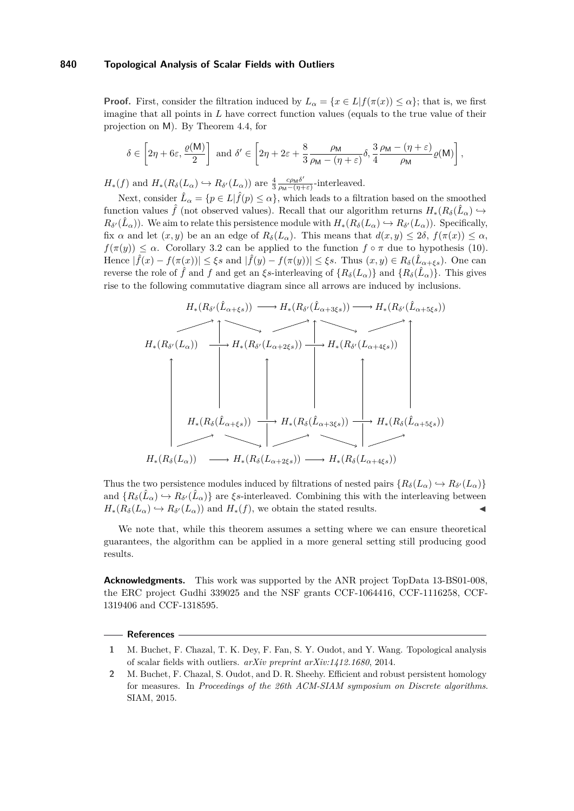**Proof.** First, consider the filtration induced by  $L_{\alpha} = \{x \in L | f(\pi(x)) \leq \alpha\}$ ; that is, we first imagine that all points in *L* have correct function values (equals to the true value of their projection on M). By Theorem [4.4,](#page-11-3) for

$$
\delta \in \left[2\eta+6\varepsilon,\frac{\varrho(\mathsf{M})}{2}\right] \text{ and } \delta' \in \left[2\eta+2\varepsilon+\frac{8}{3}\frac{\rho_{\mathsf{M}}}{\rho_{\mathsf{M}}-(\eta+\varepsilon)}\delta,\frac{3}{4}\frac{\rho_{\mathsf{M}}-(\eta+\varepsilon)}{\rho_{\mathsf{M}}}\varrho(\mathsf{M})\right],
$$

 $H_*(f)$  and  $H_*(R_\delta(L_\alpha) \hookrightarrow R_{\delta'}(L_\alpha))$  are  $\frac{4}{3} \frac{c \rho \omega^{\delta'}}{\rho \omega - (\eta + \delta')}$  $\frac{c\rho_M\sigma}{\rho_M-(\eta+\varepsilon)}$ -interleaved.

Next, consider  $\hat{L}_{\alpha} = \{p \in L | \hat{f}(p) \leq \alpha\}$ , which leads to a filtration based on the smoothed function values  $\hat{f}$  (not observed values). Recall that our algorithm returns  $H_*(R_\delta(\hat{L}_\alpha) \hookrightarrow$  $R_{\delta}(\hat{L}_{\alpha})$ ). We aim to relate this persistence module with  $H_*(R_{\delta}(L_{\alpha}) \hookrightarrow R_{\delta'}(L_{\alpha}))$ . Specifically, fix  $\alpha$  and let  $(x, y)$  be an an edge of  $R_\delta(L_\alpha)$ . This means that  $d(x, y) \leq 2\delta$ ,  $f(\pi(x)) \leq \alpha$ ,  $f(\pi(y)) \leq \alpha$ . Corollary [3.2](#page-8-0) can be applied to the function  $f \circ \pi$  due to hypothesis [\(10\)](#page-12-1). Hence  $|\hat{f}(x) - f(\pi(x))| \leq \xi s$  and  $|\hat{f}(y) - f(\pi(y))| \leq \xi s$ . Thus  $(x, y) \in R_\delta(\hat{L}_{\alpha + \xi s})$ . One can reverse the role of  $\hat{f}$  and  $f$  and get an  $\xi$ *s*-interleaving of  $\{R_\delta(L_\alpha)\}\$  and  $\{R_\delta(\hat{L}_\alpha)\}\$ . This gives rise to the following commutative diagram since all arrows are induced by inclusions.

$$
H_{*}(R_{\delta'}(\hat{L}_{\alpha+\xi s})) \longrightarrow H_{*}(R_{\delta'}(\hat{L}_{\alpha+3\xi s})) \longrightarrow H_{*}(R_{\delta'}(\hat{L}_{\alpha+5\xi s}))
$$
\n
$$
H_{*}(R_{\delta'}(L_{\alpha})) \longrightarrow H_{*}(R_{\delta'}(L_{\alpha+2\xi s})) \longrightarrow H_{*}(R_{\delta'}(L_{\alpha+4\xi s}))
$$
\n
$$
\downarrow \qquad \qquad \downarrow \qquad \qquad \downarrow \qquad \qquad \downarrow \qquad \qquad \downarrow \qquad \qquad \downarrow \qquad \qquad \downarrow \qquad \qquad \downarrow \qquad \qquad \downarrow \qquad \qquad \downarrow \qquad \qquad \downarrow \qquad \qquad \downarrow \qquad \qquad \downarrow \qquad \qquad \downarrow \qquad \qquad \downarrow \qquad \qquad \downarrow \qquad \qquad \downarrow \qquad \qquad \downarrow \qquad \qquad \downarrow \qquad \qquad \downarrow \qquad \qquad \downarrow \qquad \qquad \downarrow \qquad \qquad \downarrow \qquad \qquad \downarrow \qquad \qquad \downarrow \qquad \qquad \downarrow \qquad \qquad \downarrow \qquad \qquad \downarrow \qquad \qquad \downarrow \qquad \qquad \downarrow \qquad \qquad \downarrow \qquad \qquad \downarrow \qquad \qquad \downarrow \qquad \qquad \downarrow \qquad \qquad \downarrow \qquad \qquad \downarrow \qquad \qquad \downarrow \qquad \qquad \downarrow \qquad \qquad \downarrow \qquad \qquad \downarrow \qquad \qquad \downarrow \qquad \qquad \downarrow \qquad \qquad \downarrow \qquad \qquad \downarrow \qquad \qquad \downarrow \qquad \qquad \downarrow \qquad \qquad \downarrow \qquad \qquad \downarrow \qquad \qquad \downarrow \qquad \qquad \downarrow \qquad \qquad \downarrow \qquad \qquad \downarrow \qquad \qquad \downarrow \qquad \qquad \downarrow \qquad \qquad \downarrow \qquad \qquad \downarrow \qquad \qquad \downarrow \qquad \qquad \downarrow \qquad \qquad \downarrow \qquad \qquad \downarrow \qquad \qquad \downarrow \qquad \qquad \downarrow \qquad \qquad \downarrow \qquad \qquad \downarrow \qquad \qquad \downarrow \qquad \qquad \downarrow \qquad \qquad \downarrow \qquad \qquad \downarrow \qquad \qquad \
$$

Thus the two persistence modules induced by filtrations of nested pairs  $\{R_\delta(L_\alpha) \hookrightarrow R_{\delta'}(L_\alpha)\}\$ and  ${R_\delta(\hat{L}_\alpha) \hookrightarrow R_{\delta'}(\hat{L}_\alpha)}$  are *ξs*-interleaved. Combining this with the interleaving between  $H_*(R_\delta(L_\alpha) \hookrightarrow R_{\delta'}(L_\alpha))$  and  $H_*(f)$ , we obtain the stated results.

We note that, while this theorem assumes a setting where we can ensure theoretical guarantees, the algorithm can be applied in a more general setting still producing good results.

**Acknowledgments.** This work was supported by the ANR project TopData 13-BS01-008, the ERC project Gudhi 339025 and the NSF grants CCF-1064416, CCF-1116258, CCF-1319406 and CCF-1318595.

### **References**

- <span id="page-13-0"></span>**1** M. Buchet, F. Chazal, T. K. Dey, F. Fan, S. Y. Oudot, and Y. Wang. Topological analysis of scalar fields with outliers. *arXiv preprint arXiv:1412.1680*, 2014.
- <span id="page-13-1"></span>**2** M. Buchet, F. Chazal, S. Oudot, and D. R. Sheehy. Efficient and robust persistent homology for measures. In *Proceedings of the 26th ACM-SIAM symposium on Discrete algorithms*. SIAM, 2015.